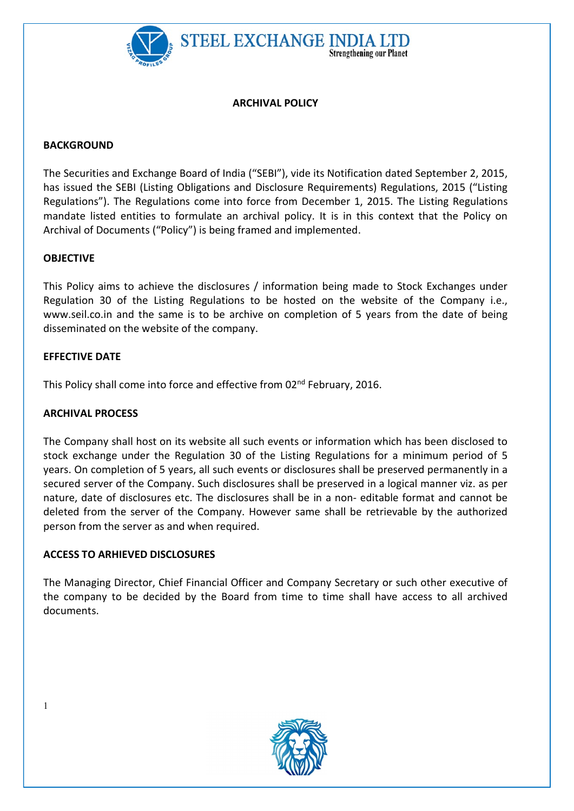

## ARCHIVAL POLICY

**Strengthening our Planet** 

## **BACKGROUND**

The Securities and Exchange Board of India ("SEBI"), vide its Notification dated September 2, 2015, has issued the SEBI (Listing Obligations and Disclosure Requirements) Regulations, 2015 ("Listing Regulations"). The Regulations come into force from December 1, 2015. The Listing Regulations mandate listed entities to formulate an archival policy. It is in this context that the Policy on Archival of Documents ("Policy") is being framed and implemented.

### **OBJECTIVE**

This Policy aims to achieve the disclosures / information being made to Stock Exchanges under Regulation 30 of the Listing Regulations to be hosted on the website of the Company i.e., www.seil.co.in and the same is to be archive on completion of 5 years from the date of being disseminated on the website of the company.

## EFFECTIVE DATE

This Policy shall come into force and effective from 02<sup>nd</sup> February, 2016.

### ARCHIVAL PROCESS

The Company shall host on its website all such events or information which has been disclosed to stock exchange under the Regulation 30 of the Listing Regulations for a minimum period of 5 years. On completion of 5 years, all such events or disclosures shall be preserved permanently in a secured server of the Company. Such disclosures shall be preserved in a logical manner viz. as per nature, date of disclosures etc. The disclosures shall be in a non- editable format and cannot be deleted from the server of the Company. However same shall be retrievable by the authorized person from the server as and when required.

# ACCESS TO ARHIEVED DISCLOSURES

The Managing Director, Chief Financial Officer and Company Secretary or such other executive of the company to be decided by the Board from time to time shall have access to all archived documents.



1